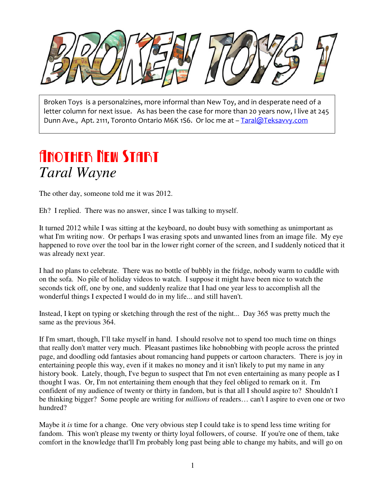

Broken Toys is a personalzines, more informal than New Toy, and in desperate need of a letter column for next issue. As has been the case for more than 20 years now, I live at 245 Dunn Ave., Apt. 2111, Toronto Ontario M6K 1S6. Or loc me at – Taral@Teksavvy.com

### Another New Start *Taral Wayne*

The other day, someone told me it was 2012.

Eh? I replied. There was no answer, since I was talking to myself.

It turned 2012 while I was sitting at the keyboard, no doubt busy with something as unimportant as what I'm writing now. Or perhaps I was erasing spots and unwanted lines from an image file. My eye happened to rove over the tool bar in the lower right corner of the screen, and I suddenly noticed that it was already next year.

I had no plans to celebrate. There was no bottle of bubbly in the fridge, nobody warm to cuddle with on the sofa. No pile of holiday videos to watch. I suppose it might have been nice to watch the seconds tick off, one by one, and suddenly realize that I had one year less to accomplish all the wonderful things I expected I would do in my life... and still haven't.

Instead, I kept on typing or sketching through the rest of the night... Day 365 was pretty much the same as the previous 364.

If I'm smart, though, I'll take myself in hand. I should resolve not to spend too much time on things that really don't matter very much. Pleasant pastimes like hobnobbing with people across the printed page, and doodling odd fantasies about romancing hand puppets or cartoon characters. There is joy in entertaining people this way, even if it makes no money and it isn't likely to put my name in any history book. Lately, though, I've begun to suspect that I'm not even entertaining as many people as I thought I was. Or, I'm not entertaining them enough that they feel obliged to remark on it. I'm confident of my audience of twenty or thirty in fandom, but is that all I should aspire to? Shouldn't I be thinking bigger? Some people are writing for *millions* of readers… can't I aspire to even one or two hundred?

Maybe it *is* time for a change. One very obvious step I could take is to spend less time writing for fandom. This won't please my twenty or thirty loyal followers, of course. If you're one of them, take comfort in the knowledge that'll I'm probably long past being able to change my habits, and will go on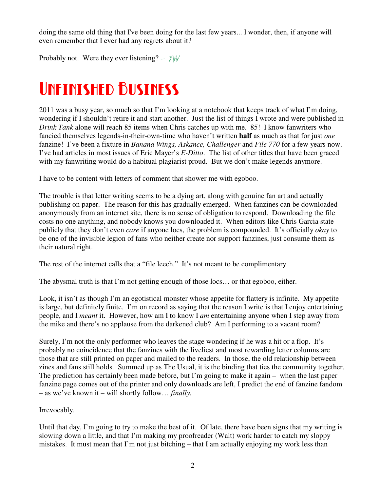doing the same old thing that I've been doing for the last few years... I wonder, then, if anyone will even remember that I ever had any regrets about it?

Probably not. Were they ever listening?  $-\mathcal{TW}$ 

## Unfinished Business

2011 was a busy year, so much so that I'm looking at a notebook that keeps track of what I'm doing, wondering if I shouldn't retire it and start another. Just the list of things I wrote and were published in *Drink Tank* alone will reach 85 items when Chris catches up with me. 85! I know fanwriters who fancied themselves legends-in-their-own-time who haven't written **half** as much as that for just *one* fanzine! I've been a fixture in *Banana Wings, Askance, Challenger* and *File 770* for a few years now. I've had articles in most issues of Eric Mayer's *E-Ditto*. The list of other titles that have been graced with my fanwriting would do a habitual plagiarist proud. But we don't make legends anymore.

I have to be content with letters of comment that shower me with egoboo.

The trouble is that letter writing seems to be a dying art, along with genuine fan art and actually publishing on paper. The reason for this has gradually emerged. When fanzines can be downloaded anonymously from an internet site, there is no sense of obligation to respond. Downloading the file costs no one anything, and nobody knows you downloaded it. When editors like Chris Garcia state publicly that they don't even *care* if anyone locs, the problem is compounded. It's officially *okay* to be one of the invisible legion of fans who neither create nor support fanzines, just consume them as their natural right.

The rest of the internet calls that a "file leech." It's not meant to be complimentary.

The abysmal truth is that I'm not getting enough of those locs… or that egoboo, either.

Look, it isn't as though I'm an egotistical monster whose appetite for flattery is infinite. My appetite is large, but definitely finite. I'm on record as saying that the reason I write is that I enjoy entertaining people, and I *meant* it. However, how am I to know I *am* entertaining anyone when I step away from the mike and there's no applause from the darkened club? Am I performing to a vacant room?

Surely, I'm not the only performer who leaves the stage wondering if he was a hit or a flop. It's probably no coincidence that the fanzines with the liveliest and most rewarding letter columns are those that are still printed on paper and mailed to the readers. In those, the old relationship between zines and fans still holds. Summed up as The Usual, it is the binding that ties the community together. The prediction has certainly been made before, but I'm going to make it again – when the last paper fanzine page comes out of the printer and only downloads are left, I predict the end of fanzine fandom – as we've known it – will shortly follow… *finally.* 

#### Irrevocably.

Until that day, I'm going to try to make the best of it. Of late, there have been signs that my writing is slowing down a little, and that I'm making my proofreader (Walt) work harder to catch my sloppy mistakes. It must mean that I'm not just bitching  $-$  that I am actually enjoying my work less than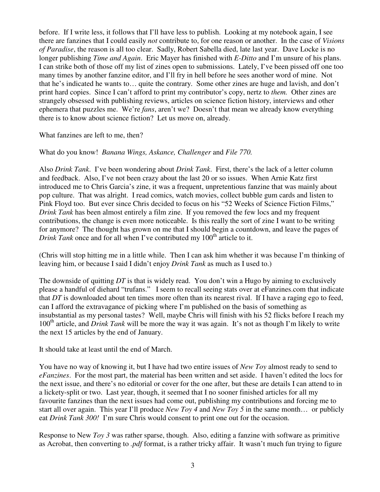before. If I write less, it follows that I'll have less to publish. Looking at my notebook again, I see there are fanzines that I could easily *not* contribute to, for one reason or another. In the case of *Visions of Paradise*, the reason is all too clear. Sadly, Robert Sabella died, late last year. Dave Locke is no longer publishing *Time and Again*. Eric Mayer has finished with *E-Ditto* and I'm unsure of his plans. I can strike both of those off my list of zines open to submissions. Lately, I've been pissed off one too many times by another fanzine editor, and I'll fry in hell before he sees another word of mine. Not that he's indicated he wants to… quite the contrary. Some other zines are huge and lavish, and don't print hard copies. Since I can't afford to print my contributor's copy, nertz to *them.* Other zines are strangely obsessed with publishing reviews, articles on science fiction history, interviews and other ephemera that puzzles me. We're *fans*, aren't we? Doesn't that mean we already know everything there is to know about science fiction? Let us move on, already.

#### What fanzines are left to me, then?

#### What do you know! *Banana Wings, Askance, Challenger* and *File 770.*

Also *Drink Tank*. I've been wondering about *Drink Tank*. First, there's the lack of a letter column and feedback. Also, I've not been crazy about the last 20 or so issues. When Arnie Katz first introduced me to Chris Garcia's zine, it was a frequent, unpretentious fanzine that was mainly about pop culture. That was alright. I read comics, watch movies, collect bubble gum cards and listen to Pink Floyd too. But ever since Chris decided to focus on his "52 Weeks of Science Fiction Films," *Drink Tank* has been almost entirely a film zine. If you removed the few locs and my frequent contributions, the change is even more noticeable. Is this really the sort of zine I want to be writing for anymore? The thought has grown on me that I should begin a countdown, and leave the pages of *Drink Tank* once and for all when I've contributed my  $100<sup>th</sup>$  article to it.

(Chris will stop hitting me in a little while. Then I can ask him whether it was because I'm thinking of leaving him, or because I said I didn't enjoy *Drink Tank* as much as I used to.)

The downside of quitting *DT* is that is widely read. You don't win a Hugo by aiming to exclusively please a handful of diehard "trufans." I seem to recall seeing stats over at eFanzines.com that indicate that *DT* is downloaded about ten times more often than its nearest rival. If I have a raging ego to feed, can I afford the extravagance of picking where I'm published on the basis of something as insubstantial as my personal tastes? Well, maybe Chris will finish with his 52 flicks before I reach my 100th article, and *Drink Tank* will be more the way it was again. It's not as though I'm likely to write the next 15 articles by the end of January.

It should take at least until the end of March.

You have no way of knowing it, but I have had two entire issues of *New Toy* almost ready to send to *eFanzines*. For the most part, the material has been written and set aside. I haven't edited the locs for the next issue, and there's no editorial or cover for the one after, but these are details I can attend to in a lickety-split or two. Last year, though, it seemed that I no sooner finished articles for all my favourite fanzines than the next issues had come out, publishing my contributions and forcing me to start all over again. This year I'll produce *New Toy 4* and *New Toy 5* in the same month… or publicly eat *Drink Tank 300!* I'm sure Chris would consent to print one out for the occasion.

Response to New *Toy 3* was rather sparse, though. Also, editing a fanzine with software as primitive as Acrobat, then converting to *.pdf* format, is a rather tricky affair. It wasn't much fun trying to figure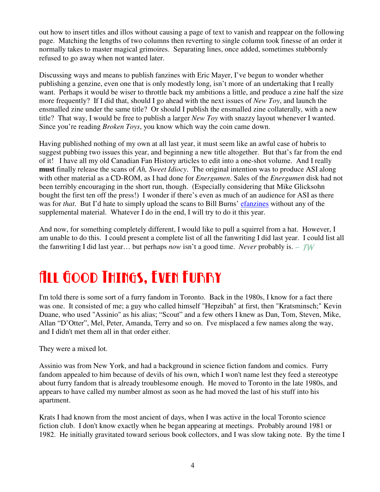out how to insert titles and illos without causing a page of text to vanish and reappear on the following page. Matching the lengths of two columns then reverting to single column took finesse of an order it normally takes to master magical grimoires. Separating lines, once added, sometimes stubbornly refused to go away when not wanted later.

Discussing ways and means to publish fanzines with Eric Mayer, I've begun to wonder whether publishing a genzine, even one that is only modestly long, isn't more of an undertaking that I really want. Perhaps it would be wiser to throttle back my ambitions a little, and produce a zine half the size more frequently? If I did that, should I go ahead with the next issues of *New Toy*, and launch the ensmalled zine under the same title? Or should I publish the ensmalled zine collaterally, with a new title? That way, I would be free to publish a larger *New Toy* with snazzy layout whenever I wanted. Since you're reading *Broken Toys*, you know which way the coin came down.

Having published nothing of my own at all last year, it must seem like an awful case of hubris to suggest pubbing two issues this year, and beginning a new title altogether. But that's far from the end of it! I have all my old Canadian Fan History articles to edit into a one-shot volume. And I really **must** finally release the scans of *Ah, Sweet Idiocy*. The original intention was to produce ASI along with other material as a CD-ROM, as I had done for *Energumen*. Sales of the *Energumen* disk had not been terribly encouraging in the short run, though. (Especially considering that Mike Glicksohn bought the first ten off the press!) I wonder if there's even as much of an audience for ASI as there was for *that*. But I'd hate to simply upload the scans to Bill Burns' efanzines without any of the supplemental material. Whatever I do in the end, I will try to do it this year.

And now, for something completely different, I would like to pull a squirrel from a hat. However, I am unable to do this. I could present a complete list of all the fanwriting I did last year. I could list all the fanwriting I did last year… but perhaps *now* isn't a good time. *Never* probably is. - TW

## All Good Things, Even Furry

I'm told there is some sort of a furry fandom in Toronto. Back in the 1980s, I know for a fact there was one. It consisted of me; a guy who called himself "Hepzibah" at first, then "Kratsminsch;" Kevin Duane, who used "Assinio" as his alias; "Scout" and a few others I knew as Dan, Tom, Steven, Mike, Allan "D'Otter", Mel, Peter, Amanda, Terry and so on. I've misplaced a few names along the way, and I didn't met them all in that order either.

They were a mixed lot.

Assinio was from New York, and had a background in science fiction fandom and comics. Furry fandom appealed to him because of devils of his own, which I won't name lest they feed a stereotype about furry fandom that is already troublesome enough. He moved to Toronto in the late 1980s, and appears to have called my number almost as soon as he had moved the last of his stuff into his apartment.

Krats I had known from the most ancient of days, when I was active in the local Toronto science fiction club. I don't know exactly when he began appearing at meetings. Probably around 1981 or 1982. He initially gravitated toward serious book collectors, and I was slow taking note. By the time I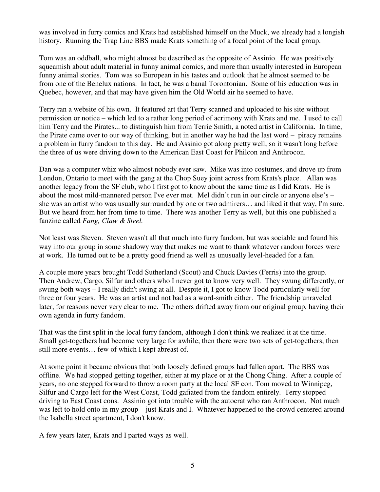was involved in furry comics and Krats had established himself on the Muck, we already had a longish history. Running the Trap Line BBS made Krats something of a focal point of the local group.

Tom was an oddball, who might almost be described as the opposite of Assinio. He was positively squeamish about adult material in funny animal comics, and more than usually interested in European funny animal stories. Tom was so European in his tastes and outlook that he almost seemed to be from one of the Benelux nations. In fact, he was a banal Torontonian. Some of his education was in Quebec, however, and that may have given him the Old World air he seemed to have.

Terry ran a website of his own. It featured art that Terry scanned and uploaded to his site without permission or notice – which led to a rather long period of acrimony with Krats and me. I used to call him Terry and the Pirates... to distinguish him from Terrie Smith, a noted artist in California. In time, the Pirate came over to our way of thinking, but in another way he had the last word – piracy remains a problem in furry fandom to this day. He and Assinio got along pretty well, so it wasn't long before the three of us were driving down to the American East Coast for Philcon and Anthrocon.

Dan was a computer whiz who almost nobody ever saw. Mike was into costumes, and drove up from London, Ontario to meet with the gang at the Chop Suey joint across from Krats's place. Allan was another legacy from the SF club, who I first got to know about the same time as I did Krats. He is about the most mild-mannered person I've ever met. Mel didn't run in our circle or anyone else's – she was an artist who was usually surrounded by one or two admirers… and liked it that way, I'm sure. But we heard from her from time to time. There was another Terry as well, but this one published a fanzine called *Fang, Claw & Steel.*

Not least was Steven. Steven wasn't all that much into furry fandom, but was sociable and found his way into our group in some shadowy way that makes me want to thank whatever random forces were at work. He turned out to be a pretty good friend as well as unusually level-headed for a fan.

A couple more years brought Todd Sutherland (Scout) and Chuck Davies (Ferris) into the group. Then Andrew, Cargo, Silfur and others who I never got to know very well. They swung differently, or swung both ways – I really didn't swing at all. Despite it, I got to know Todd particularly well for three or four years. He was an artist and not bad as a word-smith either. The friendship unraveled later, for reasons never very clear to me. The others drifted away from our original group, having their own agenda in furry fandom.

That was the first split in the local furry fandom, although I don't think we realized it at the time. Small get-togethers had become very large for awhile, then there were two sets of get-togethers, then still more events… few of which I kept abreast of.

At some point it became obvious that both loosely defined groups had fallen apart. The BBS was offline. We had stopped getting together, either at my place or at the Chong Ching. After a couple of years, no one stepped forward to throw a room party at the local SF con. Tom moved to Winnipeg, Silfur and Cargo left for the West Coast, Todd gafiated from the fandom entirely. Terry stopped driving to East Coast cons. Assinio got into trouble with the autocrat who ran Anthrocon. Not much was left to hold onto in my group – just Krats and I. Whatever happened to the crowd centered around the Isabella street apartment, I don't know.

A few years later, Krats and I parted ways as well.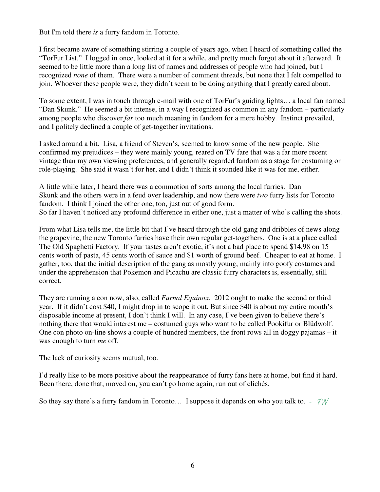But I'm told there *is* a furry fandom in Toronto.

I first became aware of something stirring a couple of years ago, when I heard of something called the "TorFur List." I logged in once, looked at it for a while, and pretty much forgot about it afterward. It seemed to be little more than a long list of names and addresses of people who had joined, but I recognized *none* of them. There were a number of comment threads, but none that I felt compelled to join. Whoever these people were, they didn't seem to be doing anything that I greatly cared about.

To some extent, I was in touch through e-mail with one of TorFur's guiding lights… a local fan named "Dan Skunk." He seemed a bit intense, in a way I recognized as common in any fandom – particularly among people who discover *far* too much meaning in fandom for a mere hobby. Instinct prevailed, and I politely declined a couple of get-together invitations.

I asked around a bit. Lisa, a friend of Steven's, seemed to know some of the new people. She confirmed my prejudices – they were mainly young, reared on TV fare that was a far more recent vintage than my own viewing preferences, and generally regarded fandom as a stage for costuming or role-playing. She said it wasn't for her, and I didn't think it sounded like it was for me, either.

A little while later, I heard there was a commotion of sorts among the local furries. Dan Skunk and the others were in a feud over leadership, and now there were *two* furry lists for Toronto fandom. I think I joined the other one, too, just out of good form. So far I haven't noticed any profound difference in either one, just a matter of who's calling the shots.

From what Lisa tells me, the little bit that I've heard through the old gang and dribbles of news along the grapevine, the new Toronto furries have their own regular get-togethers. One is at a place called The Old Spaghetti Factory. If your tastes aren't exotic, it's not a bad place to spend \$14.98 on 15 cents worth of pasta, 45 cents worth of sauce and \$1 worth of ground beef. Cheaper to eat at home. I gather, too, that the initial description of the gang as mostly young, mainly into goofy costumes and under the apprehension that Pokemon and Picachu are classic furry characters is, essentially, still correct.

They are running a con now, also, called *Furnal Equinox*. 2012 ought to make the second or third year. If it didn't cost \$40, I might drop in to scope it out. But since \$40 is about my entire month's disposable income at present, I don't think I will. In any case, I've been given to believe there's nothing there that would interest me – costumed guys who want to be called Pookifur or Blüdwolf. One con photo on-line shows a couple of hundred members, the front rows all in doggy pajamas – it was enough to turn *me* off.

The lack of curiosity seems mutual, too.

I'd really like to be more positive about the reappearance of furry fans here at home, but find it hard. Been there, done that, moved on, you can't go home again, run out of clichés.

So they say there's a furry fandom in Toronto... I suppose it depends on who you talk to.  $-\text{TW}$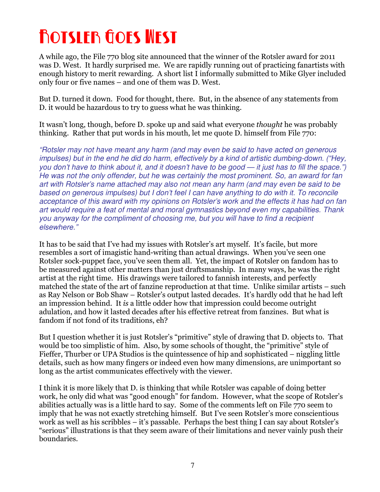# Rotsler Goes West

A while ago, the File 770 blog site announced that the winner of the Rotsler award for 2011 was D. West. It hardly surprised me. We are rapidly running out of practicing fanartists with enough history to merit rewarding. A short list I informally submitted to Mike Glyer included only four or five names – and one of them was D. West.

But D. turned it down. Food for thought, there. But, in the absence of any statements from D. it would be hazardous to try to guess what he was thinking.

It wasn't long, though, before D. spoke up and said what everyone thought he was probably thinking. Rather that put words in his mouth, let me quote D. himself from File 770:

"Rotsler may not have meant any harm (and may even be said to have acted on generous impulses) but in the end he did do harm, effectively by a kind of artistic dumbing-down. ("Hey, you don't have to think about it, and it doesn't have to be good — it just has to fill the space.") He was not the only offender, but he was certainly the most prominent. So, an award for fan art with Rotsler's name attached may also not mean any harm (and may even be said to be based on generous impulses) but I don't feel I can have anything to do with it. To reconcile acceptance of this award with my opinions on Rotsler's work and the effects it has had on fan art would require a feat of mental and moral gymnastics beyond even my capabilities. Thank you anyway for the compliment of choosing me, but you will have to find a recipient elsewhere."

It has to be said that I've had my issues with Rotsler's art myself. It's facile, but more resembles a sort of imagistic hand-writing than actual drawings. When you've seen one Rotsler sock-puppet face, you've seen them all. Yet, the impact of Rotsler on fandom has to be measured against other matters than just draftsmanship. In many ways, he was the right artist at the right time. His drawings were tailored to fannish interests, and perfectly matched the state of the art of fanzine reproduction at that time. Unlike similar artists – such as Ray Nelson or Bob Shaw – Rotsler's output lasted decades. It's hardly odd that he had left an impression behind. It is a little odder how that impression could become outright adulation, and how it lasted decades after his effective retreat from fanzines. But what is fandom if not fond of its traditions, eh?

But I question whether it is just Rotsler's "primitive" style of drawing that D. objects to. That would be too simplistic of him. Also, by some schools of thought, the "primitive" style of Fieffer, Thurber or UPA Studios is the quintessence of hip and sophisticated – niggling little details, such as how many fingers or indeed even how many dimensions, are unimportant so long as the artist communicates effectively with the viewer.

I think it is more likely that D. is thinking that while Rotsler was capable of doing better work, he only did what was "good enough" for fandom. However, what the scope of Rotsler's abilities actually was is a little hard to say. Some of the comments left on File 770 seem to imply that he was not exactly stretching himself. But I've seen Rotsler's more conscientious work as well as his scribbles – it's passable. Perhaps the best thing I can say about Rotsler's "serious" illustrations is that they seem aware of their limitations and never vainly push their boundaries.